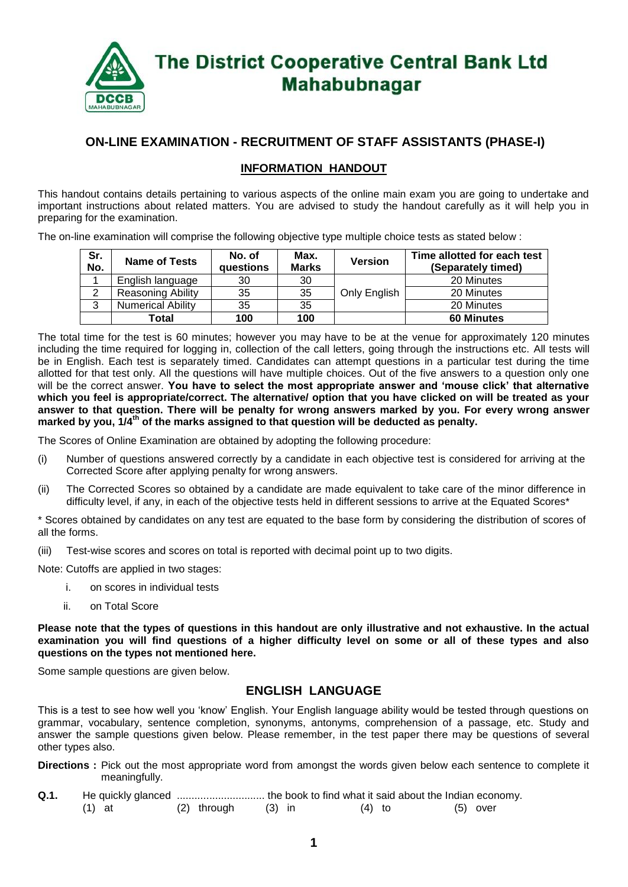

# **ON-LINE EXAMINATION - RECRUITMENT OF STAFF ASSISTANTS (PHASE-I)**

### **INFORMATION HANDOUT**

This handout contains details pertaining to various aspects of the online main exam you are going to undertake and important instructions about related matters. You are advised to study the handout carefully as it will help you in preparing for the examination.

The on-line examination will comprise the following objective type multiple choice tests as stated below :

| Sr.<br>No. | <b>Name of Tests</b>     | No. of<br>questions | Max.<br><b>Marks</b> | <b>Version</b> | Time allotted for each test<br>(Separately timed) |
|------------|--------------------------|---------------------|----------------------|----------------|---------------------------------------------------|
|            | English language         | 30                  | 30                   |                | 20 Minutes                                        |
| 2          | <b>Reasoning Ability</b> | 35                  | 35                   | Only English   | 20 Minutes                                        |
| 3          | <b>Numerical Ability</b> | 35                  | 35                   |                | 20 Minutes                                        |
|            | Total                    | 100                 | 100                  |                | <b>60 Minutes</b>                                 |

The total time for the test is 60 minutes; however you may have to be at the venue for approximately 120 minutes including the time required for logging in, collection of the call letters, going through the instructions etc. All tests will be in English. Each test is separately timed. Candidates can attempt questions in a particular test during the time allotted for that test only. All the questions will have multiple choices. Out of the five answers to a question only one will be the correct answer. **You have to select the most appropriate answer and 'mouse click' that alternative which you feel is appropriate/correct. The alternative/ option that you have clicked on will be treated as your answer to that question. There will be penalty for wrong answers marked by you. For every wrong answer marked by you, 1/4th of the marks assigned to that question will be deducted as penalty.**

The Scores of Online Examination are obtained by adopting the following procedure:

- (i) Number of questions answered correctly by a candidate in each objective test is considered for arriving at the Corrected Score after applying penalty for wrong answers.
- (ii) The Corrected Scores so obtained by a candidate are made equivalent to take care of the minor difference in difficulty level, if any, in each of the objective tests held in different sessions to arrive at the Equated Scores\*

\* Scores obtained by candidates on any test are equated to the base form by considering the distribution of scores of all the forms.

(iii) Test-wise scores and scores on total is reported with decimal point up to two digits.

Note: Cutoffs are applied in two stages:

- i. on scores in individual tests
- ii. on Total Score

**Please note that the types of questions in this handout are only illustrative and not exhaustive. In the actual examination you will find questions of a higher difficulty level on some or all of these types and also questions on the types not mentioned here.**

Some sample questions are given below.

## **ENGLISH LANGUAGE**

This is a test to see how well you 'know' English. Your English language ability would be tested through questions on grammar, vocabulary, sentence completion, synonyms, antonyms, comprehension of a passage, etc. Study and answer the sample questions given below. Please remember, in the test paper there may be questions of several other types also.

- **Directions :** Pick out the most appropriate word from amongst the words given below each sentence to complete it meaningfully.
- **Q.1.** He quickly glanced .............................. the book to find what it said about the Indian economy. (1) at  $(2)$  through  $(3)$  in  $(4)$  to  $(5)$  over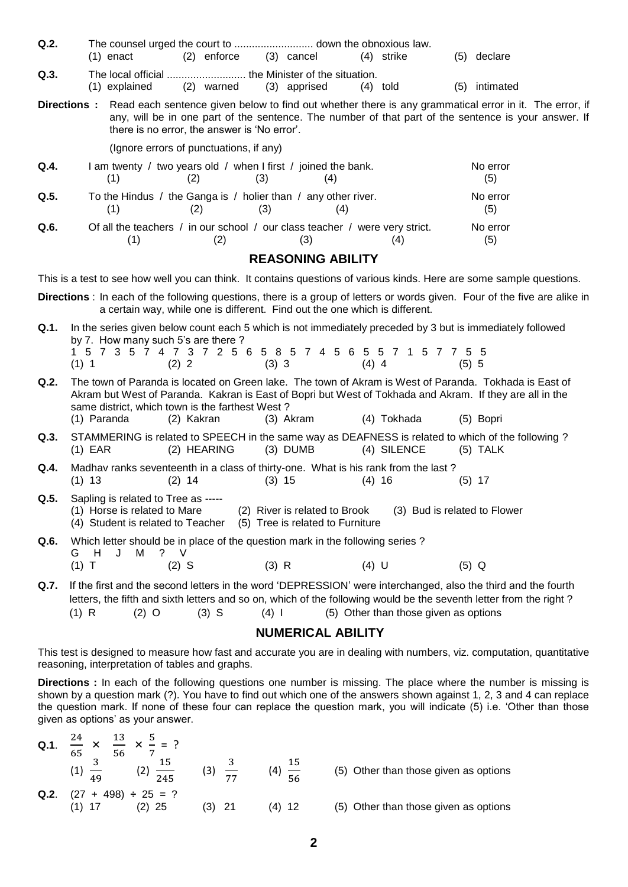| Q.2.                                                                                                                                                                                                                                                                          | $(1)$ enact<br>$(2)$ enforce<br>(3) cancel<br>(4) strike<br>(5) declare                                                                                                                                                                                                                                                                       |  |  |  |  |  |  |  |  |
|-------------------------------------------------------------------------------------------------------------------------------------------------------------------------------------------------------------------------------------------------------------------------------|-----------------------------------------------------------------------------------------------------------------------------------------------------------------------------------------------------------------------------------------------------------------------------------------------------------------------------------------------|--|--|--|--|--|--|--|--|
| Q.3.                                                                                                                                                                                                                                                                          | (3) apprised<br>(1) explained<br>(2) warned<br>$(4)$ told<br>(5) intimated                                                                                                                                                                                                                                                                    |  |  |  |  |  |  |  |  |
| Read each sentence given below to find out whether there is any grammatical error in it. The error, if<br>Directions:<br>any, will be in one part of the sentence. The number of that part of the sentence is your answer. If<br>there is no error, the answer is 'No error'. |                                                                                                                                                                                                                                                                                                                                               |  |  |  |  |  |  |  |  |
|                                                                                                                                                                                                                                                                               | (Ignore errors of punctuations, if any)                                                                                                                                                                                                                                                                                                       |  |  |  |  |  |  |  |  |
| Q.4.                                                                                                                                                                                                                                                                          | I am twenty / two years old / when I first / joined the bank.<br>No error<br>(5)<br>(1)<br>(2)<br>(3)<br>(4)                                                                                                                                                                                                                                  |  |  |  |  |  |  |  |  |
| Q.5.                                                                                                                                                                                                                                                                          | To the Hindus / the Ganga is / holier than / any other river.<br>No error<br>(3)<br>(2)<br>(5)<br>(1)<br>(4)                                                                                                                                                                                                                                  |  |  |  |  |  |  |  |  |
| Q.6.                                                                                                                                                                                                                                                                          | Of all the teachers / in our school / our class teacher / were very strict.<br>No error<br>(1)<br>(2)<br>(3)<br>(4)<br>(5)                                                                                                                                                                                                                    |  |  |  |  |  |  |  |  |
| <b>REASONING ABILITY</b>                                                                                                                                                                                                                                                      |                                                                                                                                                                                                                                                                                                                                               |  |  |  |  |  |  |  |  |
| This is a test to see how well you can think. It contains questions of various kinds. Here are some sample questions.                                                                                                                                                         |                                                                                                                                                                                                                                                                                                                                               |  |  |  |  |  |  |  |  |
| Directions : In each of the following questions, there is a group of letters or words given. Four of the five are alike in<br>a certain way, while one is different. Find out the one which is different.                                                                     |                                                                                                                                                                                                                                                                                                                                               |  |  |  |  |  |  |  |  |
| Q.1.                                                                                                                                                                                                                                                                          | In the series given below count each 5 which is not immediately preceded by 3 but is immediately followed<br>by 7. How many such 5's are there?<br>1 5 7 3 5 7 4 7 3 7 2 5 6 5 8 5 7 4 5 6 5 5 7 1 5 7 7 5 5<br>(2) 2<br>(3) 3<br>(1) 1<br>$(4)$ 4<br>(5) 5                                                                                   |  |  |  |  |  |  |  |  |
| Q.2.                                                                                                                                                                                                                                                                          | The town of Paranda is located on Green lake. The town of Akram is West of Paranda. Tokhada is East of<br>Akram but West of Paranda. Kakran is East of Bopri but West of Tokhada and Akram. If they are all in the<br>same district, which town is the farthest West?<br>(2) Kakran<br>(4) Tokhada<br>(1) Paranda<br>(5) Bopri<br>$(3)$ Akram |  |  |  |  |  |  |  |  |
| Q.3.                                                                                                                                                                                                                                                                          | STAMMERING is related to SPEECH in the same way as DEAFNESS is related to which of the following?<br>$(1)$ EAR<br>(2) HEARING<br>(4) SILENCE<br>$(3)$ DUMB<br>$(5)$ TALK                                                                                                                                                                      |  |  |  |  |  |  |  |  |
| Q.4.                                                                                                                                                                                                                                                                          | Madhav ranks seventeenth in a class of thirty-one. What is his rank from the last?<br>$(3)$ 15<br>$(4)$ 16<br>$(5)$ 17<br>$(1)$ 13<br>$(2)$ 14                                                                                                                                                                                                |  |  |  |  |  |  |  |  |
| Q.5.                                                                                                                                                                                                                                                                          | Sapling is related to Tree as -----<br>(1) Horse is related to Mare<br>(2) River is related to Brook<br>(3) Bud is related to Flower<br>(4) Student is related to Teacher<br>(5) Tree is related to Furniture                                                                                                                                 |  |  |  |  |  |  |  |  |
| Q.6.                                                                                                                                                                                                                                                                          | Which letter should be in place of the question mark in the following series?                                                                                                                                                                                                                                                                 |  |  |  |  |  |  |  |  |
|                                                                                                                                                                                                                                                                               | H<br>J<br>M<br>$\vee$<br>G<br>?<br>$(1)$ T<br>$(2)$ S<br>$(3)$ R<br>$(4)$ U<br>$(5)$ Q                                                                                                                                                                                                                                                        |  |  |  |  |  |  |  |  |
| Q.7.                                                                                                                                                                                                                                                                          | If the first and the second letters in the word 'DEPRESSION' were interchanged, also the third and the fourth<br>letters, the fifth and sixth letters and so on, which of the following would be the seventh letter from the right?<br>$(3)$ S<br>(5) Other than those given as options<br>$(1)$ R<br>$(2)$ O<br>(4) 1                        |  |  |  |  |  |  |  |  |
| <b>NUMERICAL ABILITY</b>                                                                                                                                                                                                                                                      |                                                                                                                                                                                                                                                                                                                                               |  |  |  |  |  |  |  |  |

This test is designed to measure how fast and accurate you are in dealing with numbers, viz. computation, quantitative reasoning, interpretation of tables and graphs.

**Directions :** In each of the following questions one number is missing. The place where the number is missing is shown by a question mark (?). You have to find out which one of the answers shown against 1, 2, 3 and 4 can replace the question mark. If none of these four can replace the question mark, you will indicate (5) i.e. 'Other than those given as options' as your answer.

| Q.1. $\frac{24}{15} \times \frac{13}{15} \times \frac{5}{1} = ?$<br>65<br>56<br>(2) $\frac{1}{245}$ .<br>$(1) \frac{1}{49}$ | $rac{1}{77}$<br>(3) | $rac{18}{56}$<br>(4) | $\circ$<br>(5) |
|-----------------------------------------------------------------------------------------------------------------------------|---------------------|----------------------|----------------|
| Q.2. $(27 + 498) \div 25 = ?$<br>$\sqrt{4}$<br>$(0)$ $\alpha$                                                               | $\sim$              | $\sqrt{4}$           | $\sim$         |

ther than those given as options

(1) 17 (2) 25 (3) 21 (4) 12 (5) Other than those given as options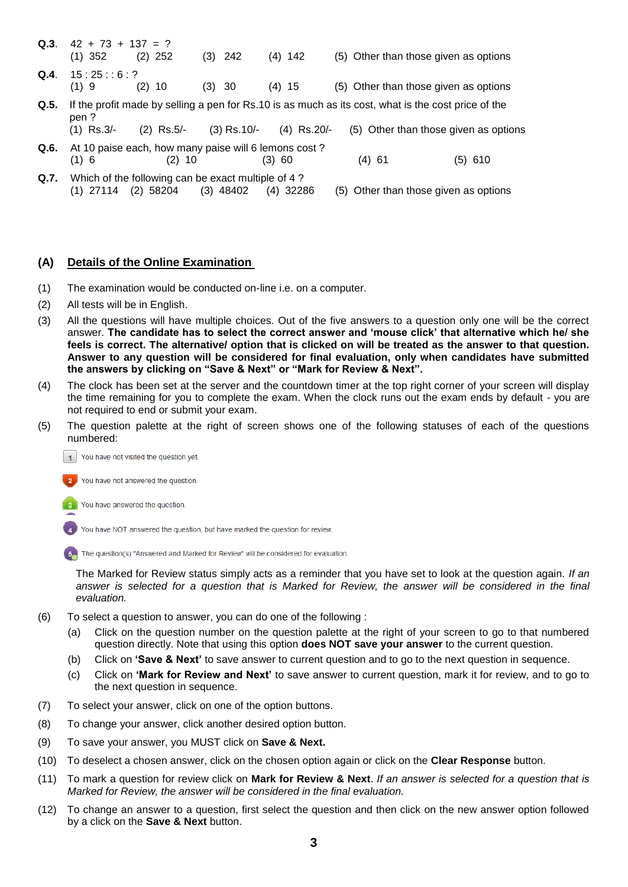**Q.3**.  $42 + 73 + 137 = ?$ (1) 352 (2) 252 (3) 242 (4) 142 (5) Other than those given as options **Q.4.**  $15 : 25 :: 6 : ?$ <br>(1) 9 (2) 10  $(1) 9$   $(2) 10$   $(3) 30$   $(4) 15$   $(5)$  Other than those given as options **Q.5.** If the profit made by selling a pen for Rs.10 is as much as its cost, what is the cost price of the pen ? (1) Rs.3/- (2) Rs.5/- (3) Rs.10/- (4) Rs.20/- (5) Other than those given as options **Q.6.** At 10 paise each, how many paise will 6 lemons cost ? (1) 6 (2) 10 (3) 60 (4) 61 (5) 610 **Q.7.** Which of the following can be exact multiple of 4 ? (1) 27114 (2) 58204 (3) 48402 (4) 32286 (5) Other than those given as options

### **(A) Details of the Online Examination**

- (1) The examination would be conducted on-line i.e. on a computer.
- (2) All tests will be in English.
- (3) All the questions will have multiple choices. Out of the five answers to a question only one will be the correct answer. **The candidate has to select the correct answer and 'mouse click' that alternative which he/ she feels is correct. The alternative/ option that is clicked on will be treated as the answer to that question. Answer to any question will be considered for final evaluation, only when candidates have submitted the answers by clicking on "Save & Next" or "Mark for Review & Next".**
- (4) The clock has been set at the server and the countdown timer at the top right corner of your screen will display the time remaining for you to complete the exam. When the clock runs out the exam ends by default - you are not required to end or submit your exam.
- (5) The question palette at the right of screen shows one of the following statuses of each of the questions numbered:
	- 1 You have not visited the question yet.
	- You have not answered the question
	- You have answered the question

You have NOT answered the question, but have marked the question for review.

[5] The question(s) "Answered and Marked for Review" will be considered for evaluation.

The Marked for Review status simply acts as a reminder that you have set to look at the question again. *If an*  answer is selected for a question that is Marked for Review, the answer will be considered in the final *evaluation.*

- (6) To select a question to answer, you can do one of the following :
	- (a) Click on the question number on the question palette at the right of your screen to go to that numbered question directly. Note that using this option **does NOT save your answer** to the current question.
	- (b) Click on **'Save & Next'** to save answer to current question and to go to the next question in sequence.
	- (c) Click on **'Mark for Review and Next'** to save answer to current question, mark it for review, and to go to the next question in sequence.
- (7) To select your answer, click on one of the option buttons.
- (8) To change your answer, click another desired option button.
- (9) To save your answer, you MUST click on **Save & Next.**
- (10) To deselect a chosen answer, click on the chosen option again or click on the **Clear Response** button.
- (11) To mark a question for review click on **Mark for Review & Next**. *If an answer is selected for a question that is Marked for Review, the answer will be considered in the final evaluation.*
- (12) To change an answer to a question, first select the question and then click on the new answer option followed by a click on the **Save & Next** button.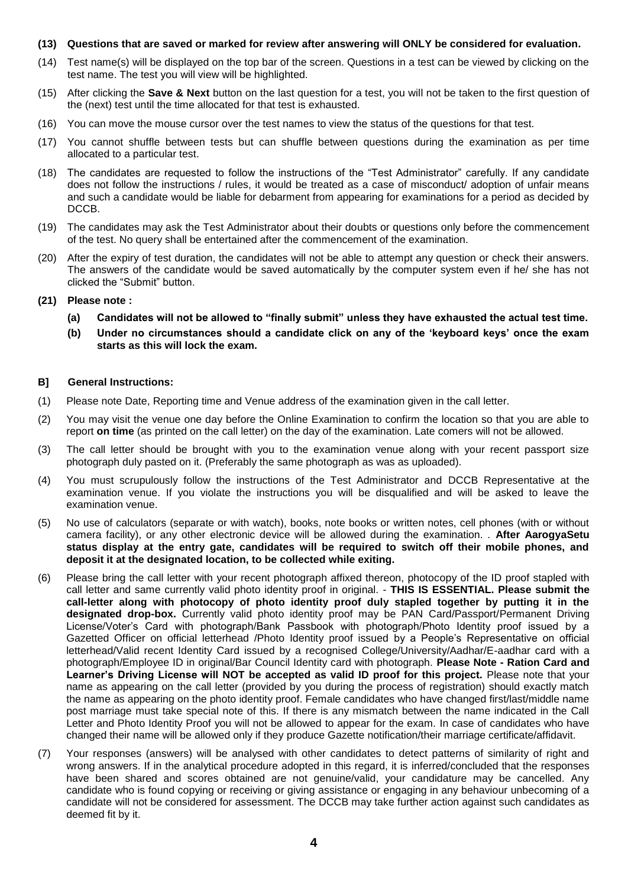#### **(13) Questions that are saved or marked for review after answering will ONLY be considered for evaluation.**

- (14) Test name(s) will be displayed on the top bar of the screen. Questions in a test can be viewed by clicking on the test name. The test you will view will be highlighted.
- (15) After clicking the **Save & Next** button on the last question for a test, you will not be taken to the first question of the (next) test until the time allocated for that test is exhausted.
- (16) You can move the mouse cursor over the test names to view the status of the questions for that test.
- (17) You cannot shuffle between tests but can shuffle between questions during the examination as per time allocated to a particular test.
- (18) The candidates are requested to follow the instructions of the "Test Administrator" carefully. If any candidate does not follow the instructions / rules, it would be treated as a case of misconduct/ adoption of unfair means and such a candidate would be liable for debarment from appearing for examinations for a period as decided by DCCB.
- (19) The candidates may ask the Test Administrator about their doubts or questions only before the commencement of the test. No query shall be entertained after the commencement of the examination.
- (20) After the expiry of test duration, the candidates will not be able to attempt any question or check their answers. The answers of the candidate would be saved automatically by the computer system even if he/ she has not clicked the "Submit" button.
- **(21) Please note :**
	- **(a) Candidates will not be allowed to "finally submit" unless they have exhausted the actual test time.**
	- **(b) Under no circumstances should a candidate click on any of the 'keyboard keys' once the exam starts as this will lock the exam.**

#### **B] General Instructions:**

- (1) Please note Date, Reporting time and Venue address of the examination given in the call letter.
- (2) You may visit the venue one day before the Online Examination to confirm the location so that you are able to report **on time** (as printed on the call letter) on the day of the examination. Late comers will not be allowed.
- (3) The call letter should be brought with you to the examination venue along with your recent passport size photograph duly pasted on it. (Preferably the same photograph as was as uploaded).
- (4) You must scrupulously follow the instructions of the Test Administrator and DCCB Representative at the examination venue. If you violate the instructions you will be disqualified and will be asked to leave the examination venue.
- (5) No use of calculators (separate or with watch), books, note books or written notes, cell phones (with or without camera facility), or any other electronic device will be allowed during the examination. . **After AarogyaSetu status display at the entry gate, candidates will be required to switch off their mobile phones, and deposit it at the designated location, to be collected while exiting.**
- (6) Please bring the call letter with your recent photograph affixed thereon, photocopy of the ID proof stapled with call letter and same currently valid photo identity proof in original. - **THIS IS ESSENTIAL. Please submit the call-letter along with photocopy of photo identity proof duly stapled together by putting it in the designated drop-box.** Currently valid photo identity proof may be PAN Card/Passport/Permanent Driving License/Voter's Card with photograph/Bank Passbook with photograph/Photo Identity proof issued by a Gazetted Officer on official letterhead /Photo Identity proof issued by a People's Representative on official letterhead/Valid recent Identity Card issued by a recognised College/University/Aadhar/E-aadhar card with a photograph/Employee ID in original/Bar Council Identity card with photograph. **Please Note - Ration Card and Learner's Driving License will NOT be accepted as valid ID proof for this project.** Please note that your name as appearing on the call letter (provided by you during the process of registration) should exactly match the name as appearing on the photo identity proof. Female candidates who have changed first/last/middle name post marriage must take special note of this. If there is any mismatch between the name indicated in the Call Letter and Photo Identity Proof you will not be allowed to appear for the exam. In case of candidates who have changed their name will be allowed only if they produce Gazette notification/their marriage certificate/affidavit.
- (7) Your responses (answers) will be analysed with other candidates to detect patterns of similarity of right and wrong answers. If in the analytical procedure adopted in this regard, it is inferred/concluded that the responses have been shared and scores obtained are not genuine/valid, your candidature may be cancelled. Any candidate who is found copying or receiving or giving assistance or engaging in any behaviour unbecoming of a candidate will not be considered for assessment. The DCCB may take further action against such candidates as deemed fit by it.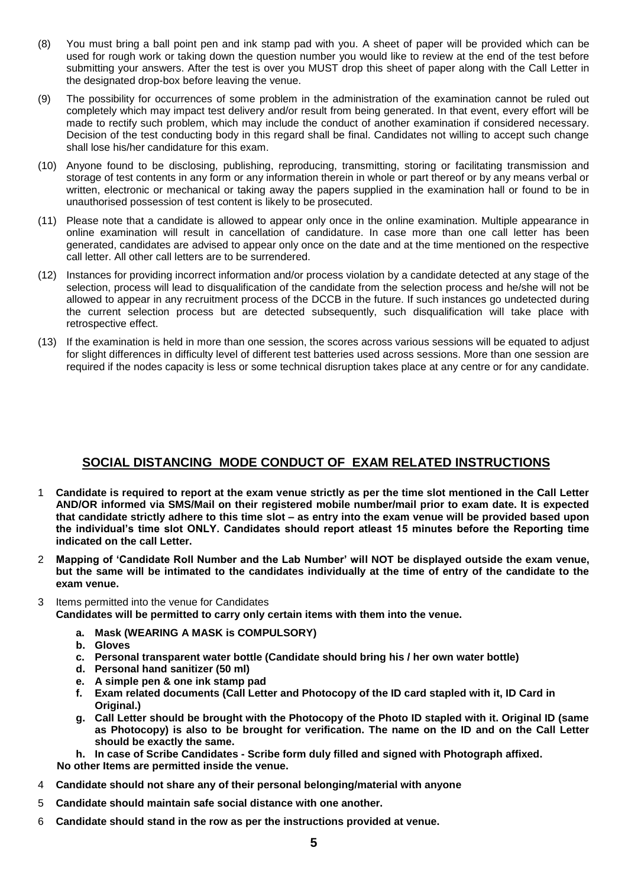- (8) You must bring a ball point pen and ink stamp pad with you. A sheet of paper will be provided which can be used for rough work or taking down the question number you would like to review at the end of the test before submitting your answers. After the test is over you MUST drop this sheet of paper along with the Call Letter in the designated drop-box before leaving the venue.
- (9) The possibility for occurrences of some problem in the administration of the examination cannot be ruled out completely which may impact test delivery and/or result from being generated. In that event, every effort will be made to rectify such problem, which may include the conduct of another examination if considered necessary. Decision of the test conducting body in this regard shall be final. Candidates not willing to accept such change shall lose his/her candidature for this exam.
- (10) Anyone found to be disclosing, publishing, reproducing, transmitting, storing or facilitating transmission and storage of test contents in any form or any information therein in whole or part thereof or by any means verbal or written, electronic or mechanical or taking away the papers supplied in the examination hall or found to be in unauthorised possession of test content is likely to be prosecuted.
- (11) Please note that a candidate is allowed to appear only once in the online examination. Multiple appearance in online examination will result in cancellation of candidature. In case more than one call letter has been generated, candidates are advised to appear only once on the date and at the time mentioned on the respective call letter. All other call letters are to be surrendered.
- (12) Instances for providing incorrect information and/or process violation by a candidate detected at any stage of the selection, process will lead to disqualification of the candidate from the selection process and he/she will not be allowed to appear in any recruitment process of the DCCB in the future. If such instances go undetected during the current selection process but are detected subsequently, such disqualification will take place with retrospective effect.
- (13) If the examination is held in more than one session, the scores across various sessions will be equated to adjust for slight differences in difficulty level of different test batteries used across sessions. More than one session are required if the nodes capacity is less or some technical disruption takes place at any centre or for any candidate.

## **SOCIAL DISTANCING MODE CONDUCT OF EXAM RELATED INSTRUCTIONS**

- 1 **Candidate is required to report at the exam venue strictly as per the time slot mentioned in the Call Letter AND/OR informed via SMS/Mail on their registered mobile number/mail prior to exam date. It is expected that candidate strictly adhere to this time slot – as entry into the exam venue will be provided based upon the individual's time slot ONLY. Candidates should report atleast 15 minutes before the Reporting time indicated on the call Letter.**
- 2 **Mapping of 'Candidate Roll Number and the Lab Number' will NOT be displayed outside the exam venue, but the same will be intimated to the candidates individually at the time of entry of the candidate to the exam venue.**
- 3 Items permitted into the venue for Candidates **Candidates will be permitted to carry only certain items with them into the venue.** 
	- **a. Mask (WEARING A MASK is COMPULSORY)**
	- **b. Gloves**
	- **c. Personal transparent water bottle (Candidate should bring his / her own water bottle)**
	- **d. Personal hand sanitizer (50 ml)**
	- **e. A simple pen & one ink stamp pad**
	- **f. Exam related documents (Call Letter and Photocopy of the ID card stapled with it, ID Card in Original.)**
	- **g. Call Letter should be brought with the Photocopy of the Photo ID stapled with it. Original ID (same as Photocopy) is also to be brought for verification. The name on the ID and on the Call Letter should be exactly the same.**
	- **h. In case of Scribe Candidates - Scribe form duly filled and signed with Photograph affixed.**

**No other Items are permitted inside the venue.**

- 4 **Candidate should not share any of their personal belonging/material with anyone**
- 5 **Candidate should maintain safe social distance with one another.**
- 6 **Candidate should stand in the row as per the instructions provided at venue.**